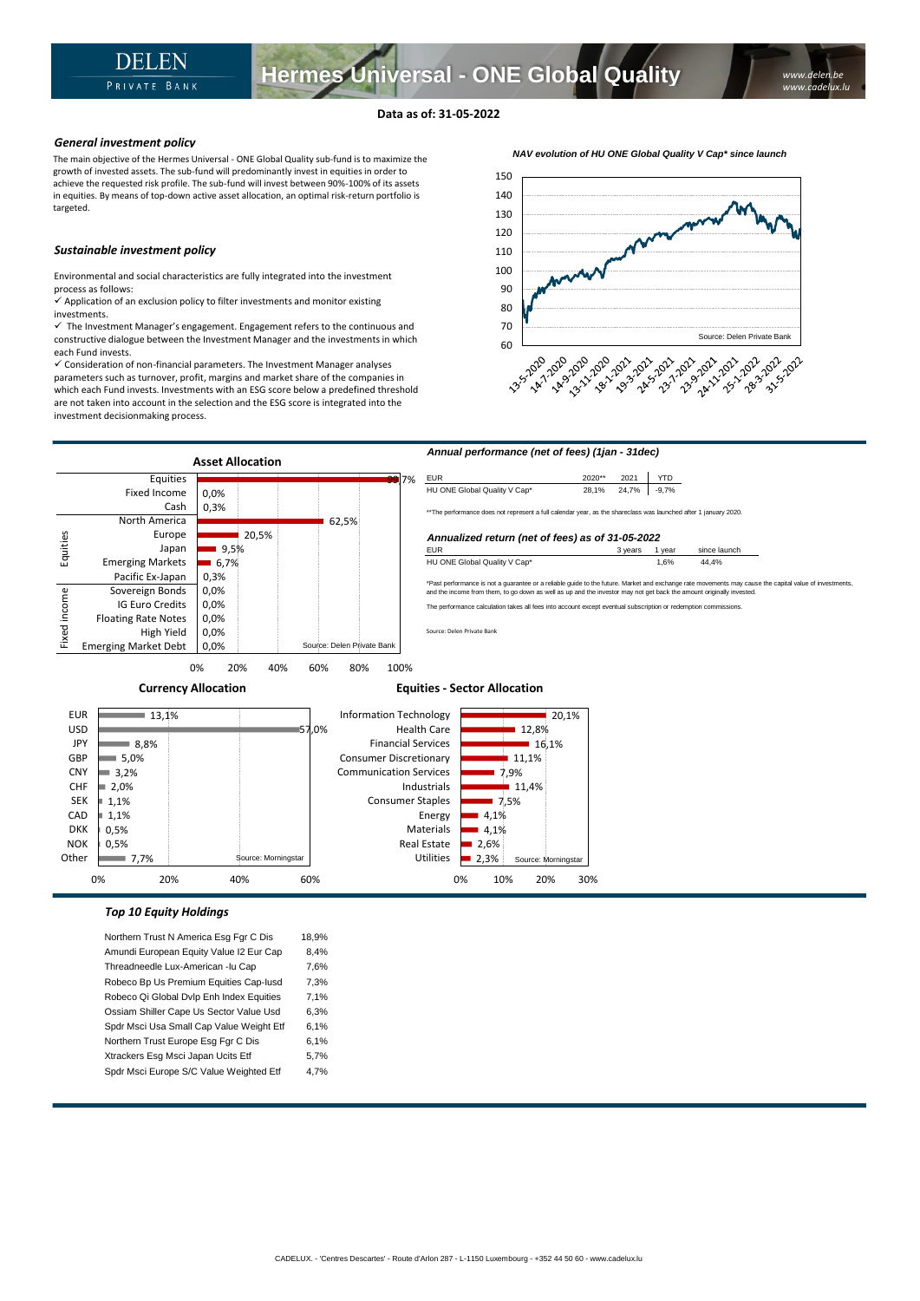# **Data as of: 31-05-2022**

## *General investment policy*

The main objective of the Hermes Universal - ONE Global Quality sub-fund is to maximize the growth of invested assets. The sub-fund will predominantly invest in equities in order to achieve the requested risk profile. The sub-fund will invest between 90%-100% of its assets in equities. By means of top-down active asset allocation, an optimal risk-return portfolio is targeted.

## *Sustainable investment policy*

Environmental and social characteristics are fully integrated into the investment process as follows:

 $\checkmark$  Application of an exclusion policy to filter investments and monitor existing investments.

 $\checkmark$  The Investment Manager's engagement. Engagement refers to the continuous and constructive dialogue between the Investment Manager and the investments in which each Fund invests.

✓ Consideration of non-financial parameters. The Investment Manager analyses parameters such as turnover, profit, margins and market share of the companies in which each Fund invests. Investments with an ESG score below a predefined threshold are not taken into account in the selection and the ESG score is integrated into the investment decisionmaking process.





0% 10% 20% 30%

# *Top 10 Equity Holdings*

Northern Trust N America Esg Fgr C Dis 18,9% Amundi European Equity Value I2 Eur Cap 8,4% Threadneedle Lux-American -lu Cap 7,6% Robeco Bp Us Premium Equities Cap-Iusd 7,3% Robeco Qi Global Dvlp Enh Index Equities 7,1% Ossiam Shiller Cape Us Sector Value Usd 6,3% Spdr Msci Usa Small Cap Value Weight Etf 6,1% Northern Trust Europe Esg Fgr C Dis 6,1% Xtrackers Esg Msci Japan Ucits Etf 5,7% Spdr Msci Europe S/C Value Weighted Etf 4,7%

0% 20% 40% 60%

*NAV evolution of HU ONE Global Quality V Cap\* since launch*